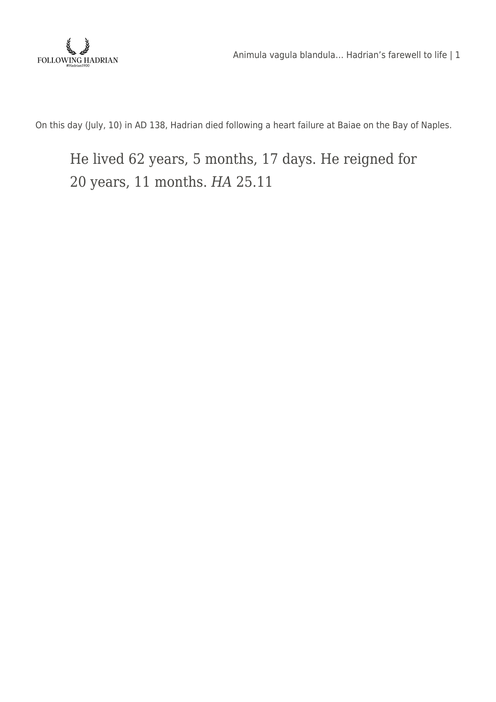

On this day (July, 10) in AD 138, Hadrian died following a heart failure at Baiae on the Bay of Naples.

He lived 62 years, 5 months, 17 days. He reigned for 20 years, 11 months. *HA* 25.11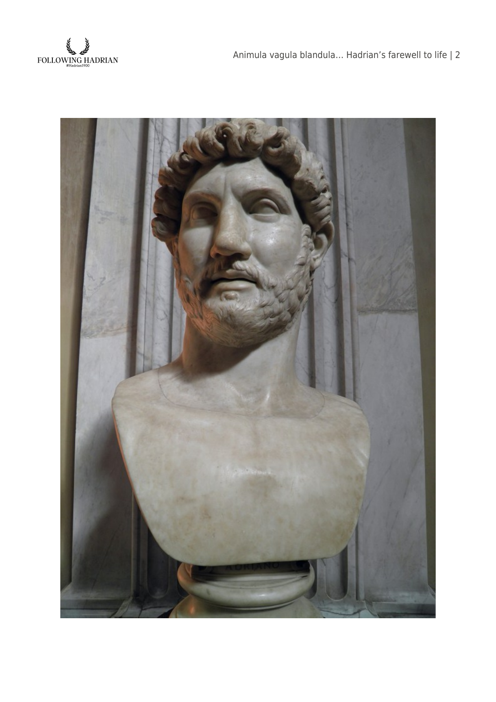

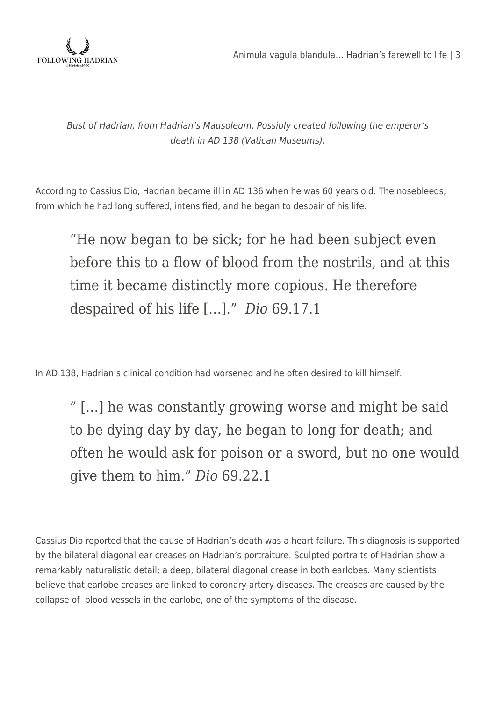Bust of Hadrian, from Hadrian's Mausoleum. Possibly created following the emperor's death in AD 138 (Vatican Museums).

According to Cassius Dio, Hadrian became ill in AD 136 when he was 60 years old. The nosebleeds, from which he had long suffered, intensified, and he began to despair of his life.

"He now began to be sick; for he had been subject even before this to a flow of blood from the nostrils, and at this time it became distinctly more copious. He therefore despaired of his life […]." *Dio* 69.17.1

In AD 138, Hadrian's clinical condition had worsened and he often desired to kill himself.

" […] he was constantly growing worse and might be said to be dying day by day, he began to long for death; and often he would ask for poison or a sword, but no one would give them to him." *Dio* 69.22.1

Cassius Dio reported that the cause of Hadrian's death was a heart failure. This diagnosis is supported by the bilateral diagonal ear creases on Hadrian's portraiture. Sculpted portraits of Hadrian show a remarkably naturalistic detail; a deep, bilateral diagonal crease in both earlobes. Many scientists believe that earlobe creases are linked to coronary artery diseases. The creases are caused by the collapse of blood vessels in the earlobe, one of the symptoms of the disease.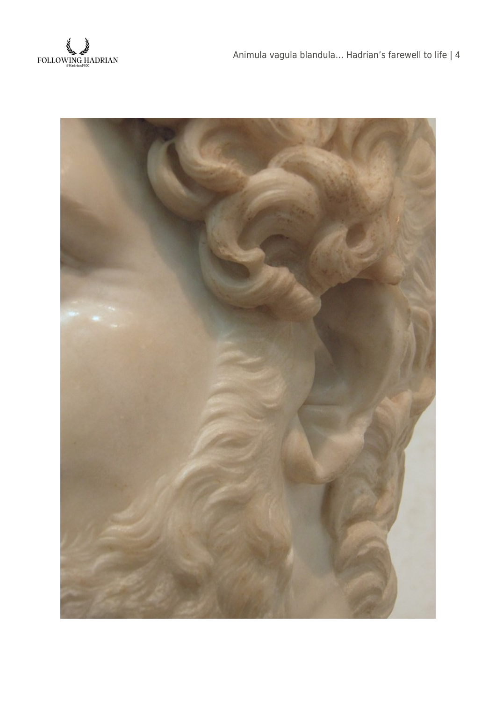

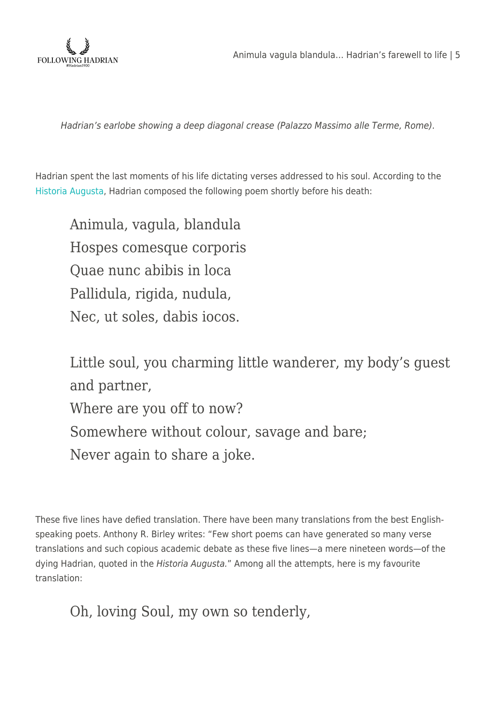

Hadrian's earlobe showing a deep diagonal crease (Palazzo Massimo alle Terme, Rome).

Hadrian spent the last moments of his life dictating verses addressed to his soul. According to the [Historia Augusta,](http://penelope.uchicago.edu/Thayer/E/Roman/Texts/Historia_Augusta/Hadrian/2*.html) Hadrian composed the following poem shortly before his death:

Animula, vagula, blandula Hospes comesque corporis Quae nunc abibis in loca Pallidula, rigida, nudula, Nec, ut soles, dabis iocos.

Little soul, you charming little wanderer, my body's guest and partner,

Where are you off to now?

Somewhere without colour, savage and bare;

Never again to share a joke.

These five lines have defied translation. There have been many translations from the best Englishspeaking poets. Anthony R. Birley writes: "Few short poems can have generated so many verse translations and such copious academic debate as these five lines—a mere nineteen words—of the dying Hadrian, quoted in the Historia Augusta." Among all the attempts, here is my favourite translation:

Oh, loving Soul, my own so tenderly,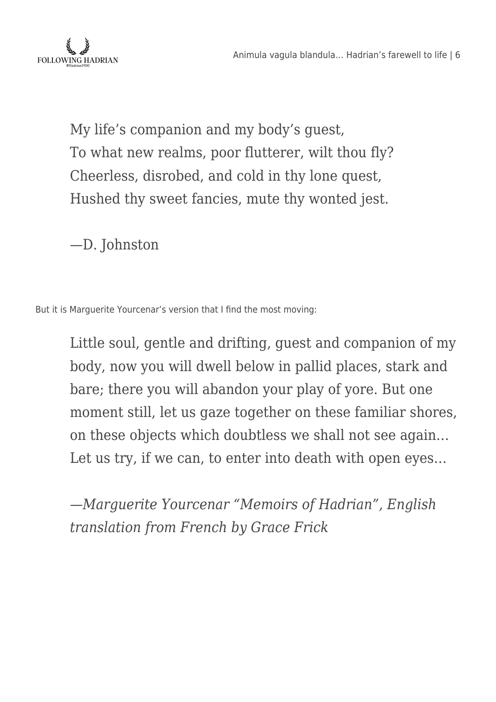

My life's companion and my body's guest, To what new realms, poor flutterer, wilt thou fly? Cheerless, disrobed, and cold in thy lone quest, Hushed thy sweet fancies, mute thy wonted jest.

—D. Johnston

But it is Marguerite Yourcenar's version that I find the most moving:

Little soul, gentle and drifting, guest and companion of my body, now you will dwell below in pallid places, stark and bare; there you will abandon your play of yore. But one moment still, let us gaze together on these familiar shores, on these objects which doubtless we shall not see again… Let us try, if we can, to enter into death with open eyes…

*—Marguerite Yourcenar "Memoirs of Hadrian", English translation from French by Grace Frick*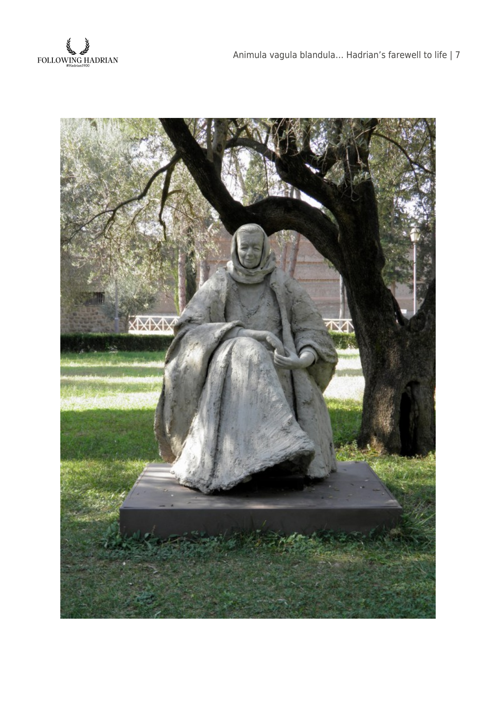

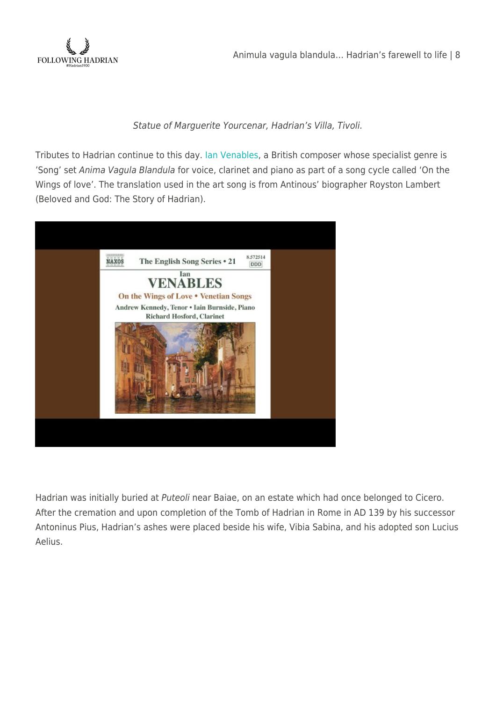

Statue of Marguerite Yourcenar, Hadrian's Villa, Tivoli.

Tributes to Hadrian continue to this day. [Ian Venables](https://ianvenables.com/), a British composer whose specialist genre is 'Song' set Anima Vagula Blandula for voice, clarinet and piano as part of a song cycle called 'On the Wings of love'. The translation used in the art song is from Antinous' biographer Royston Lambert (Beloved and God: The Story of Hadrian).



Hadrian was initially buried at Puteoli near Baiae, on an estate which had once belonged to Cicero. After the cremation and upon completion of the Tomb of Hadrian in Rome in AD 139 by his successor Antoninus Pius, Hadrian's ashes were placed beside his wife, Vibia Sabina, and his adopted son Lucius Aelius.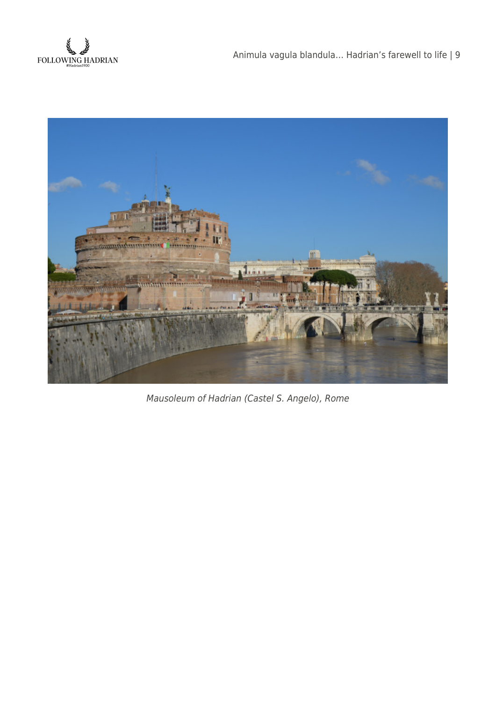



Mausoleum of Hadrian (Castel S. Angelo), Rome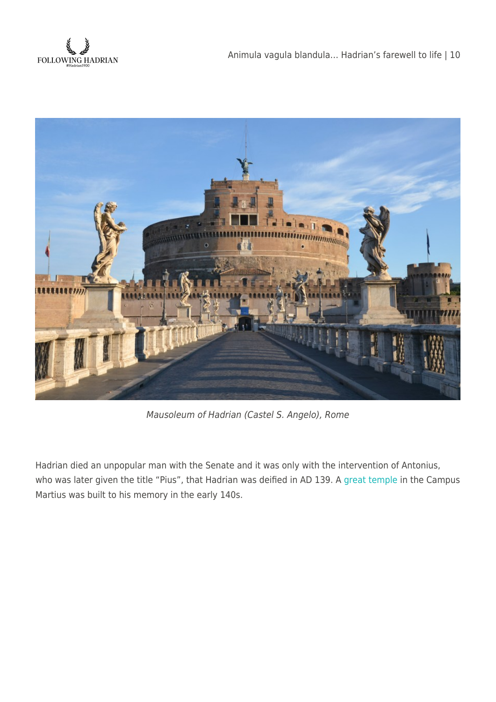



Mausoleum of Hadrian (Castel S. Angelo), Rome

Hadrian died an unpopular man with the Senate and it was only with the intervention of Antonius, who was later given the title "Pius", that Hadrian was deified in AD 139. A [great temple](https://followinghadrian.com/2015/01/21/the-hadrianeum-and-the-personifications-of-provinces/) in the Campus Martius was built to his memory in the early 140s.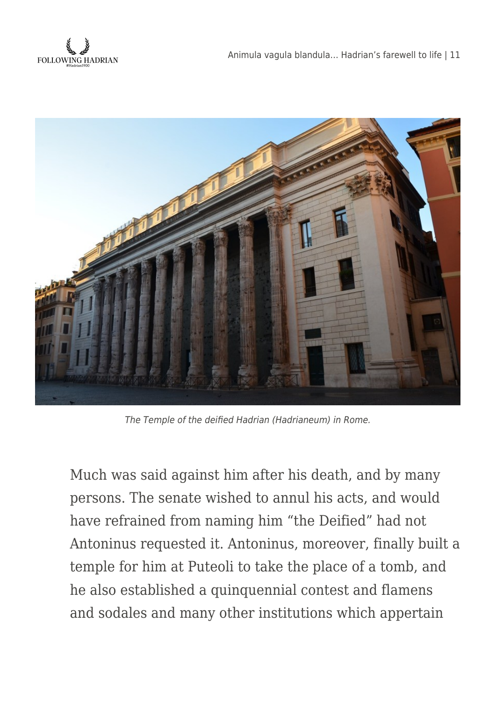



The Temple of the deified Hadrian (Hadrianeum) in Rome.

Much was said against him after his death, and by many persons. The senate wished to annul his acts, and would have refrained from naming him "the Deified" had not Antoninus requested it. Antoninus, moreover, finally built a temple for him at Puteoli to take the place of a tomb, and he also established a quinquennial contest and flamens and sodales and many other institutions which appertain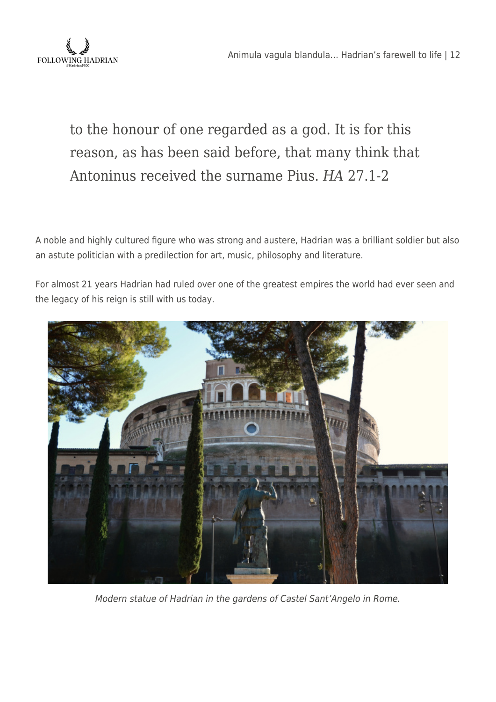

## to the honour of one regarded as a god. It is for this reason, as has been said before, that many think that Antoninus received the surname Pius. *HA* 27.1-2

A noble and highly cultured figure who was strong and austere, Hadrian was a brilliant soldier but also an astute politician with a predilection for art, music, philosophy and literature.

For almost 21 years Hadrian had ruled over one of the greatest empires the world had ever seen and the legacy of his reign is still with us today.



Modern statue of Hadrian in the gardens of Castel Sant'Angelo in Rome.